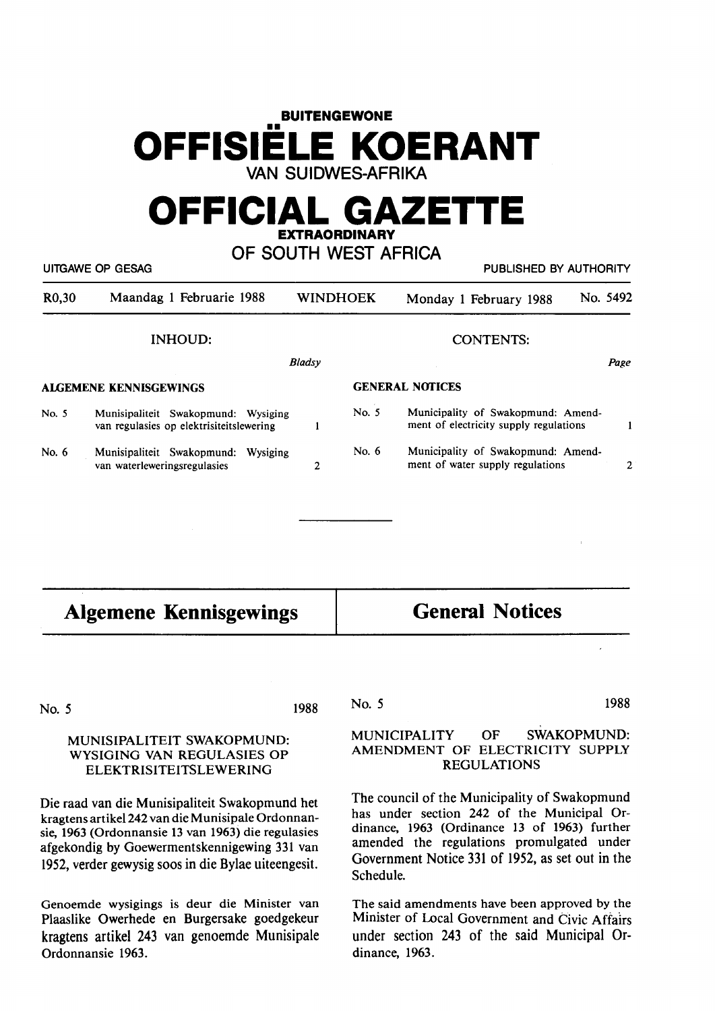# **BUITENGEWONE**  •• **OFFISIELE KOERANT VAN SUIDWES-AFRIKA**

# **OFFICIAL GAZETTE EXTRAORDINARY**

**OF SOUTH WEST AFRICA** 

|                               | UITGAWE OP GESAG                                                                |                 | PUBLISHED BY AUTHORITY |                                                                              |          |
|-------------------------------|---------------------------------------------------------------------------------|-----------------|------------------------|------------------------------------------------------------------------------|----------|
| R <sub>0</sub> ,30            | Maandag 1 Februarie 1988                                                        | <b>WINDHOEK</b> |                        | Monday 1 February 1988                                                       | No. 5492 |
|                               | <b>INHOUD:</b>                                                                  |                 |                        | <b>CONTENTS:</b>                                                             |          |
|                               |                                                                                 | Bladsy          |                        |                                                                              | Page     |
| <b>ALGEMENE KENNISGEWINGS</b> |                                                                                 |                 | <b>GENERAL NOTICES</b> |                                                                              |          |
| No. 5                         | Munisipaliteit Swakopmund: Wysiging<br>van regulasies op elektrisiteitslewering |                 | No. 5                  | Municipality of Swakopmund: Amend-<br>ment of electricity supply regulations |          |
| No. $6$                       | Munisipaliteit Swakopmund:<br>Wysiging<br>van waterleweringsregulasies          | 2               | No. $6$                | Municipality of Swakopmund: Amend-<br>ment of water supply regulations       | 2        |
|                               |                                                                                 |                 |                        |                                                                              |          |

| <b>Algemene Kennisgewings</b>                                                                                                                                                                                                                                    | <b>General Notices</b>                                                                                                                                                                                                                                    |  |  |
|------------------------------------------------------------------------------------------------------------------------------------------------------------------------------------------------------------------------------------------------------------------|-----------------------------------------------------------------------------------------------------------------------------------------------------------------------------------------------------------------------------------------------------------|--|--|
| 1988<br>No. 5                                                                                                                                                                                                                                                    | 1988<br>No. 5                                                                                                                                                                                                                                             |  |  |
| MUNISIPALITEIT SWAKOPMUND:<br>WYSIGING VAN REGULASIES OP<br><b>ELEKTRISITEITSLEWERING</b>                                                                                                                                                                        | <b>SWAKOPMUND:</b><br><b>MUNICIPALITY</b><br>OF<br>AMENDMENT OF ELECTRICITY SUPPLY<br><b>REGULATIONS</b>                                                                                                                                                  |  |  |
| Die raad van die Munisipaliteit Swakopmund het<br>kragtens artikel 242 van die Munisipale Ordonnan-<br>sie, 1963 (Ordonnansie 13 van 1963) die regulasies<br>afgekondig by Goewermentskennigewing 331 van<br>1952, verder gewysig soos in die Bylae uiteengesit. | The council of the Municipality of Swakopmund<br>has under section 242 of the Municipal Or-<br>dinance, 1963 (Ordinance 13 of 1963) further<br>amended the regulations promulgated under<br>Government Notice 331 of 1952, as set out in the<br>Schedule. |  |  |

Genoemde wysigings is deur die Minister van Plaaslike Owerhede en Burgersake goedgekeur kragtens artikel 243 van genoemde Munisipale Ordonnansie 1963.

The said amendments have been approved by the Minister of Local Government and Civic Affairs under section 243 of the said Municipal Ordinance, 1963.